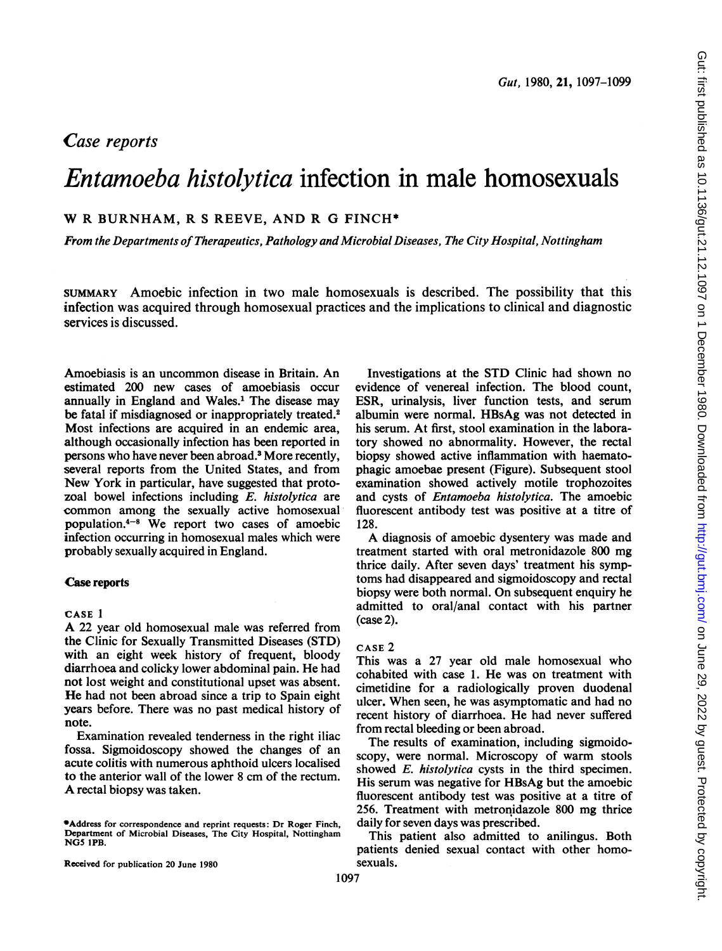# Case reports

# Entamoeba histolytica infection in male homosexuals

### W R BURNHAM, R <sup>S</sup> REEVE, AND R G FINCH\*

From the Departments of Therapeutics, Pathology and Microbial Diseases, The City Hospital, Nottingham

SUMMARY Amoebic infection in two male homosexuals is described. The possibility that this infection was acquired through homosexual practices and the implications to clinical and diagnostic services is discussed.

Amoebiasis is an uncommon disease in Britain. An estimated 200 new cases of amoebiasis occur annually in England and Wales.<sup>1</sup> The disease may be fatal if misdiagnosed or inappropriately treated.<sup>2</sup> Most infections are acquired in an endemic area, although occasionally infection has been reported in persons who have never been abroad.3 More recently, several reports from the United States, and from New York in particular, have suggested that protozoal bowel infections including E. histolytica are common among the sexually active homosexual population.4-8 We report two cases of amoebic infection occurring in homosexual males which were probably sexually acquired in England.

#### Case reports

#### CASE <sup>1</sup>

A <sup>22</sup> year old homosexual male was referred from the Clinic for Sexually Transmitted Diseases (STD) with an eight week history of frequent, bloody diarrhoea and colicky lower abdominal pain. He had not lost weight and constitutional upset was absent. He had not been abroad since a trip to Spain eight years before. There was no past medical history of note.

Examination revealed tenderness in the right iliac fossa. Sigmoidoscopy showed the changes of an acute colitis with numerous aphthoid ulcers localised to the anterior wall of the lower <sup>8</sup> cm of the rectum. A rectal biopsy was taken.

Received for publication 20 June 1980

Investigations at the STD Clinic had shown no evidence of venereal infection. The blood count, ESR, urinalysis, liver function tests, and serum albumin were normal. HBsAg was not detected in his serum. At first, stool examination in the laboratory showed no abnormality. However, the rectal biopsy showed active inflammation with haematophagic amoebae present (Figure). Subsequent stool examination showed actively motile trophozoites and cysts of Entamoeba histolytica. The amoebic fluorescent antibody test was positive at a titre of 128.

A diagnosis of amoebic dysentery was made and treatment started with oral metronidazole 800 mg thrice daily. After seven days' treatment his symptoms had disappeared and sigmoidoscopy and rectal biopsy were both normal. On subsequent enquiry he admitted to oral/anal contact with his partner (case 2).

#### CASE 2

This was a 27 year old male homosexual who cohabited with case 1. He was on treatment with cimetidine for a radiologically proven duodenal ulcer. When seen, he was asymptomatic and had no recent history of diarrhoea. He had never suffered from rectal bleeding or been abroad.

The results of examination, including sigmoidoscopy, were normal. Microscopy of warm stools showed E. histolytica cysts in the third specimen. His serum was negative for HBsAg but the amoebic fluorescent antibody test was positive at a titre of 256. Treatment with metronidazole 800 mg thrice daily for seven days was prescribed.

This patient also admitted to anilingus. Both patients denied sexual contact with other homosexuals.

Address for correspondence and reprint requests: Dr Roger Finch, Department of Microbial Diseases, The City Hospital, Nottingham NG5 1PB.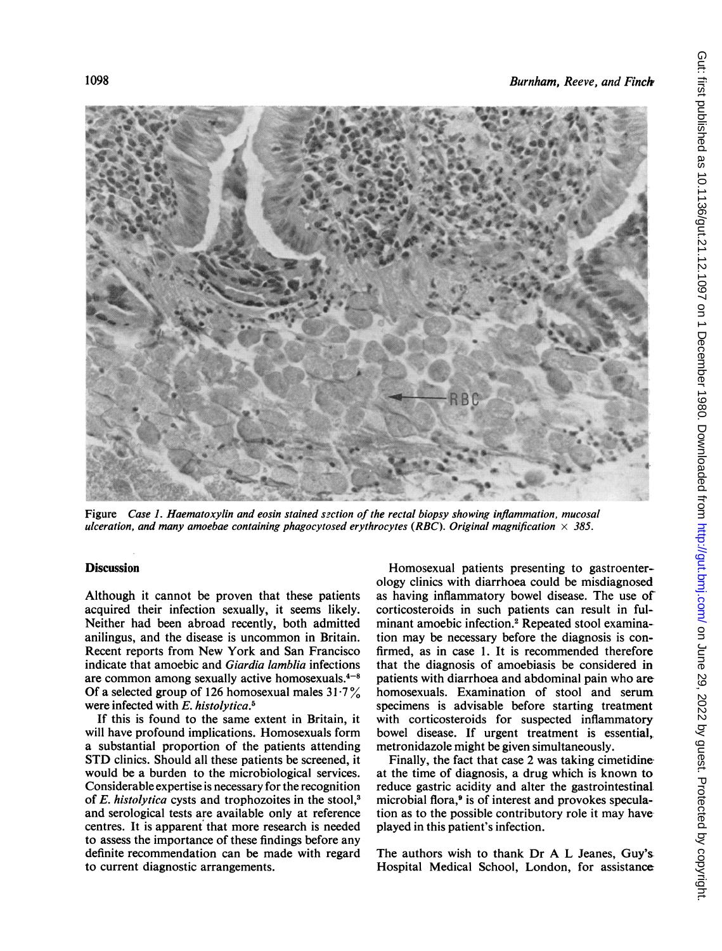

Figure Case 1. Haematoxylin and eosin stained section of the rectal biopsy showing inflammation, mucosal ulceration, and many amoebae containing phagocytosed erythrocytes (RBC). Original magnification  $\times$  385.

# **Discussion**

Although it cannot be proven that these patients acquired their infection sexually, it seems likely. Neither had been abroad recently, both admitted anilingus, and the disease is uncommon in Britain. Recent reports from New York and San Francisco indicate that amoebic and Giardia lamblia infections are common among sexually active homosexuals. $4-8$ Of a selected group of 126 homosexual males  $31.7\%$ were infected with E. histolytica.<sup>5</sup>

If this is found to the same extent in Britain, it will have profound implications. Homosexuals form a substantial proportion of the patients attending STD clinics. Should all these patients be screened, it would be a burden to the microbiological services. Considerable expertise is necessary for the recognition of  $E$ . histolytica cysts and trophozoites in the stool,<sup>3</sup> and serological tests are available only at reference centres. It is apparent that more research is needed to assess the importance of these findings before any definite recommendation can be made with regard to current diagnostic arrangements.

Homosexual patients presenting to gastroenterology clinics with diarrhoea could be misdiagnosed as having inflammatory bowel disease. The use of corticosteroids in such patients can result in fulminant amoebic infection.2 Repeated stool examination may be necessary before the diagnosis is confirmed, as in case 1. It is recommended therefore that the diagnosis of amoebiasis be considered in patients with diarrhoea and abdominal pain who are homosexuals. Examination of stool and serum specimens is advisable before starting treatment with corticosteroids for suspected inflammatory bowel disease. If urgent treatment is essential, metronidazole might be given simultaneously.

Finally, the fact that case 2 was taking cimetidine at the time of diagnosis, a drug which is known to reduce gastric acidity and alter the gastrointestinal microbial flora,<sup>9</sup> is of interest and provokes speculation as to the possible contributory role it may have played in this patient's infection.

The authors wish to thank Dr A L Jeanes, Guy's. Hospital Medical School, London, for assistance